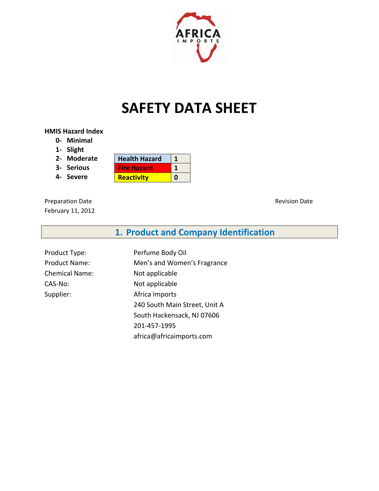

# **SAFETY DATA SHEET**

#### **HMIS Hazard Index**

- **0- Minimal**
- **1- Slight**
- **2- Moderate**
- **3- Serious**
- **4- Severe**

| <b>Health Hazard</b> |  |
|----------------------|--|
| <b>Fire Hazard</b>   |  |
| <b>Reactivity</b>    |  |

Preparation Date **Revision Date** Revision Date February 11, 2012

**1. Product and Company Identification**

Product Type: Product Name: Chemical Name: CAS-No: Supplier:

Perfume Body Oil Men's and Women's Fragrance Not applicable Not applicable Africa Imports 240 South Main Street, Unit A South Hackensack, NJ 07606 201-457-1995 africa@africaimports.com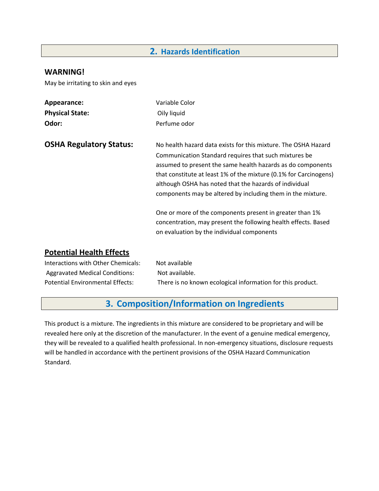#### **2. Hazards Identification**

#### **WARNING!**

May be irritating to skin and eyes

| Appearance:                    | Variable Color                                                                                                                                                                                                                                                                                                                                                                       |
|--------------------------------|--------------------------------------------------------------------------------------------------------------------------------------------------------------------------------------------------------------------------------------------------------------------------------------------------------------------------------------------------------------------------------------|
| <b>Physical State:</b>         | Oily liquid                                                                                                                                                                                                                                                                                                                                                                          |
| Odor:                          | Perfume odor                                                                                                                                                                                                                                                                                                                                                                         |
| <b>OSHA Regulatory Status:</b> | No health hazard data exists for this mixture. The OSHA Hazard<br>Communication Standard requires that such mixtures be<br>assumed to present the same health hazards as do components<br>that constitute at least 1% of the mixture (0.1% for Carcinogens)<br>although OSHA has noted that the hazards of individual<br>components may be altered by including them in the mixture. |
|                                | One or more of the components present in greater than 1%<br>concentration, may present the following health effects. Based<br>on evaluation by the individual components                                                                                                                                                                                                             |

#### **Potential Health Effects**

| Interactions with Other Chemicals:    | Not available                                              |
|---------------------------------------|------------------------------------------------------------|
| <b>Aggravated Medical Conditions:</b> | Not available.                                             |
| Potential Environmental Effects:      | There is no known ecological information for this product. |

# **3. Composition/Information on Ingredients**

This product is a mixture. The ingredients in this mixture are considered to be proprietary and will be revealed here only at the discretion of the manufacturer. In the event of a genuine medical emergency, they will be revealed to a qualified health professional. In non-emergency situations, disclosure requests will be handled in accordance with the pertinent provisions of the OSHA Hazard Communication Standard.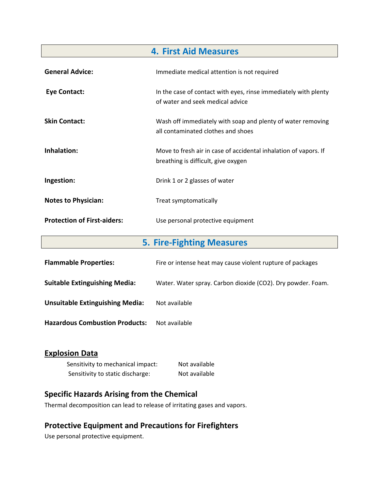| <b>4. First Aid Measures</b>       |                                                                                                         |
|------------------------------------|---------------------------------------------------------------------------------------------------------|
| <b>General Advice:</b>             | Immediate medical attention is not required                                                             |
| Eye Contact:                       | In the case of contact with eyes, rinse immediately with plenty<br>of water and seek medical advice     |
| <b>Skin Contact:</b>               | Wash off immediately with soap and plenty of water removing<br>all contaminated clothes and shoes       |
| Inhalation:                        | Move to fresh air in case of accidental inhalation of vapors. If<br>breathing is difficult, give oxygen |
| Ingestion:                         | Drink 1 or 2 glasses of water                                                                           |
| <b>Notes to Physician:</b>         | Treat symptomatically                                                                                   |
| <b>Protection of First-aiders:</b> | Use personal protective equipment                                                                       |

| <b>5. Fire-Fighting Measures</b>       |                                                             |
|----------------------------------------|-------------------------------------------------------------|
| <b>Flammable Properties:</b>           | Fire or intense heat may cause violent rupture of packages  |
| <b>Suitable Extinguishing Media:</b>   | Water. Water spray. Carbon dioxide (CO2). Dry powder. Foam. |
| <b>Unsuitable Extinguishing Media:</b> | Not available                                               |
| <b>Hazardous Combustion Products:</b>  | Not available                                               |

### **Explosion Data**

| Sensitivity to mechanical impact: | Not available |
|-----------------------------------|---------------|
| Sensitivity to static discharge:  | Not available |

## **Specific Hazards Arising from the Chemical**

Thermal decomposition can lead to release of irritating gases and vapors.

# **Protective Equipment and Precautions for Firefighters**

Use personal protective equipment.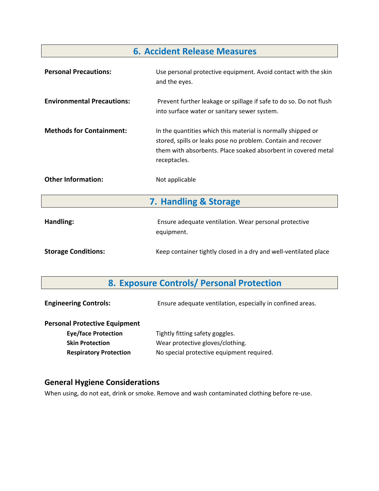# **6. Accident Release Measures**

| <b>Personal Precautions:</b>      | Use personal protective equipment. Avoid contact with the skin<br>and the eyes.                                                                                                                               |  |
|-----------------------------------|---------------------------------------------------------------------------------------------------------------------------------------------------------------------------------------------------------------|--|
| <b>Environmental Precautions:</b> | Prevent further leakage or spillage if safe to do so. Do not flush<br>into surface water or sanitary sewer system.                                                                                            |  |
| <b>Methods for Containment:</b>   | In the quantities which this material is normally shipped or<br>stored, spills or leaks pose no problem. Contain and recover<br>them with absorbents. Place soaked absorbent in covered metal<br>receptacles. |  |
| <b>Other Information:</b>         | Not applicable                                                                                                                                                                                                |  |
| 7. Handling & Storage             |                                                                                                                                                                                                               |  |
| Handling:                         | Ensure adequate ventilation. Wear personal protective<br>equipment.                                                                                                                                           |  |
| <b>Storage Conditions:</b>        | Keep container tightly closed in a dry and well-ventilated place                                                                                                                                              |  |

# **8. Exposure Controls/ Personal Protection**

| <b>Engineering Controls:</b>         | Ensure adequate ventilation, especially in confined areas. |
|--------------------------------------|------------------------------------------------------------|
| <b>Personal Protective Equipment</b> |                                                            |
| <b>Eye/face Protection</b>           | Tightly fitting safety goggles.                            |
| <b>Skin Protection</b>               | Wear protective gloves/clothing.                           |
| <b>Respiratory Protection</b>        | No special protective equipment required.                  |
|                                      |                                                            |

### **General Hygiene Considerations**

When using, do not eat, drink or smoke. Remove and wash contaminated clothing before re-use.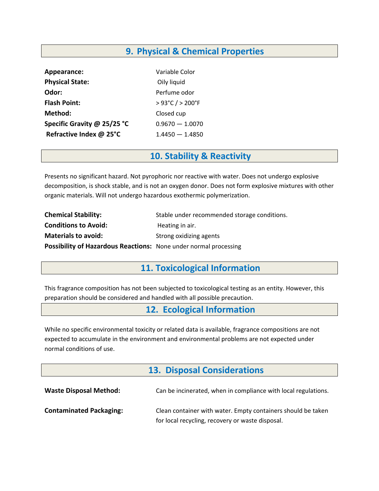# **9. Physical & Chemical Properties**

| Appearance:                 | Variable Color                     |
|-----------------------------|------------------------------------|
| <b>Physical State:</b>      | Oily liquid                        |
| Odor:                       | Perfume odor                       |
| <b>Flash Point:</b>         | $>93^{\circ}$ C / $>200^{\circ}$ F |
| Method:                     | Closed cup                         |
| Specific Gravity @ 25/25 °C | $0.9670 - 1.0070$                  |
| Refractive Index @ 25°C     | $1.4450 - 1.4850$                  |

### **10. Stability & Reactivity**

Presents no significant hazard. Not pyrophoric nor reactive with water. Does not undergo explosive decomposition, is shock stable, and is not an oxygen donor. Does not form explosive mixtures with other organic materials. Will not undergo hazardous exothermic polymerization.

| <b>Chemical Stability:</b>                                       | Stable under recommended storage conditions. |
|------------------------------------------------------------------|----------------------------------------------|
| <b>Conditions to Avoid:</b>                                      | Heating in air.                              |
| <b>Materials to avoid:</b>                                       | Strong oxidizing agents                      |
| Possibility of Hazardous Reactions: None under normal processing |                                              |

# **11. Toxicological Information**

This fragrance composition has not been subjected to toxicological testing as an entity. However, this preparation should be considered and handled with all possible precaution.

### **12. Ecological Information**

While no specific environmental toxicity or related data is available, fragrance compositions are not expected to accumulate in the environment and environmental problems are not expected under normal conditions of use.

## **13. Disposal Considerations**

| <b>Waste Disposal Method:</b>  | Can be incinerated, when in compliance with local regulations.                                                   |
|--------------------------------|------------------------------------------------------------------------------------------------------------------|
| <b>Contaminated Packaging:</b> | Clean container with water. Empty containers should be taken<br>for local recycling, recovery or waste disposal. |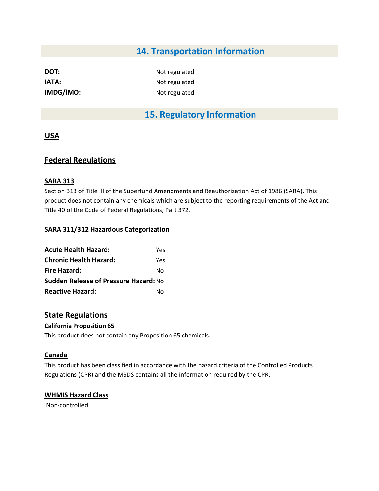## **14. Transportation Information**

**DOT:** Not regulated

**IATA:** Not regulated **IMDG/IMO:** Not regulated

# **15. Regulatory Information**

#### **USA**

#### **Federal Regulations**

#### **SARA 313**

Section 313 of Title Ill of the Superfund Amendments and Reauthorization Act of 1986 (SARA). This product does not contain any chemicals which are subject to the reporting requirements of the Act and Title 40 of the Code of Federal Regulations, Part 372.

#### **SARA 311/312 Hazardous Categorization**

| <b>Acute Health Hazard:</b>                  | Yes |
|----------------------------------------------|-----|
| <b>Chronic Health Hazard:</b>                | Yes |
| <b>Fire Hazard:</b>                          | N٥  |
| <b>Sudden Release of Pressure Hazard: No</b> |     |
| <b>Reactive Hazard:</b>                      | N٥  |

#### **State Regulations**

#### **California Proposition 65**

This product does not contain any Proposition 65 chemicals.

#### **Canada**

This product has been classified in accordance with the hazard criteria of the Controlled Products Regulations (CPR) and the MSDS contains all the information required by the CPR.

#### **WHMIS Hazard Class**

Non-controlled